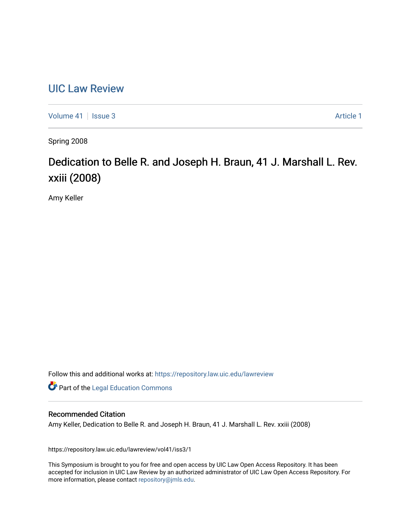## [UIC Law Review](https://repository.law.uic.edu/lawreview)

[Volume 41](https://repository.law.uic.edu/lawreview/vol41) | [Issue 3](https://repository.law.uic.edu/lawreview/vol41/iss3) Article 1

Spring 2008

# Dedication to Belle R. and Joseph H. Braun, 41 J. Marshall L. Rev. xxiii (2008)

Amy Keller

Follow this and additional works at: [https://repository.law.uic.edu/lawreview](https://repository.law.uic.edu/lawreview?utm_source=repository.law.uic.edu%2Flawreview%2Fvol41%2Fiss3%2F1&utm_medium=PDF&utm_campaign=PDFCoverPages) 

**Part of the Legal Education Commons** 

#### Recommended Citation

Amy Keller, Dedication to Belle R. and Joseph H. Braun, 41 J. Marshall L. Rev. xxiii (2008)

https://repository.law.uic.edu/lawreview/vol41/iss3/1

This Symposium is brought to you for free and open access by UIC Law Open Access Repository. It has been accepted for inclusion in UIC Law Review by an authorized administrator of UIC Law Open Access Repository. For more information, please contact [repository@jmls.edu.](mailto:repository@jmls.edu)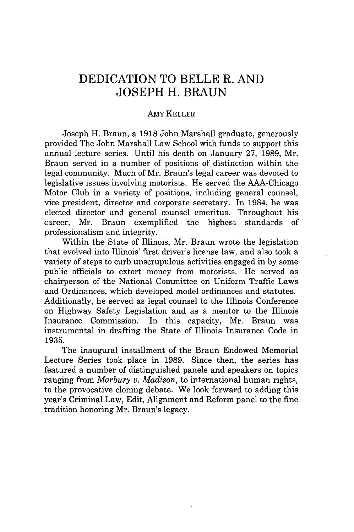### **DEDICATION** TO BELLE R. **AND JOSEPH** H. **BRAUN**

#### AMY KELLER

Joseph H. Braun, a 1918 John Marshall graduate, generously provided The John Marshall Law School with funds to support this annual lecture series. Until his death on January 27, 1989, Mr. Braun served in a number of positions of distinction within the legal community. Much of Mr. Braun's legal career was devoted to legislative issues involving motorists. He served the AAA-Chicago Motor Club in a variety of positions, including general counsel, vice president, director and corporate secretary. In 1984, he was elected director and general counsel emeritus. Throughout his career, Mr. Braun exemplified the highest standards of professionalism and integrity.

Within the State of Illinois, Mr. Braun wrote the legislation that evolved into Illinois' first driver's license law, and also took a variety of steps to curb unscrupulous activities engaged in by some public officials to extort money from motorists. He served as chairperson of the National Committee on Uniform Traffic Laws and Ordinances, which developed model ordinances and statutes. Additionally, he served as legal counsel to the Illinois Conference on Highway Safety Legislation and as a mentor to the Illinois Insurance Commission. In this capacity, Mr. Braun was instrumental in drafting the State of Illinois Insurance Code in 1935.

The inaugural installment of the Braun Endowed Memorial Lecture Series took place in 1989. Since then, the series has featured a number of distinguished panels and speakers on topics ranging from *Marbury v. Madison,* to international human rights, to the provocative cloning debate. We look forward to adding this year's Criminal Law, Edit, Alignment and Reform panel to the fine tradition honoring Mr. Braun's legacy.